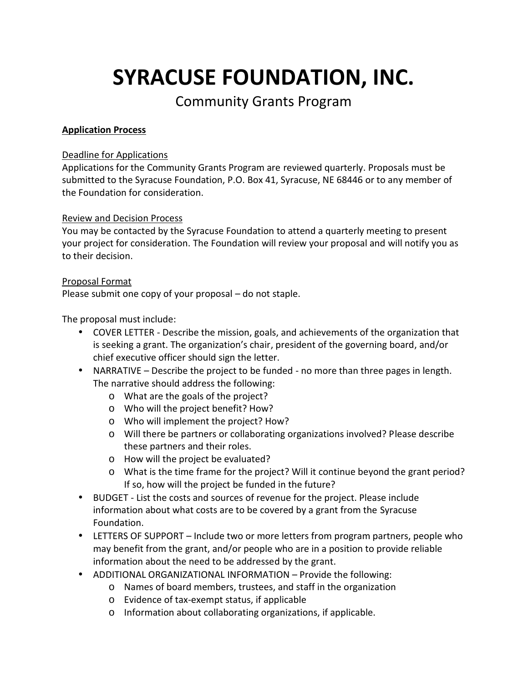# **SYRACUSE FOUNDATION, INC.**

# Community Grants Program

## **Application Process**

#### Deadline for Applications

Applications for the Community Grants Program are reviewed quarterly. Proposals must be submitted to the Syracuse Foundation, P.O. Box 41, Syracuse, NE 68446 or to any member of the Foundation for consideration.

#### Review and Decision Process

You may be contacted by the Syracuse Foundation to attend a quarterly meeting to present your project for consideration. The Foundation will review your proposal and will notify you as to their decision.

#### Proposal Format

Please submit one copy of your proposal – do not staple.

### The proposal must include:

- COVER LETTER Describe the mission, goals, and achievements of the organization that is seeking a grant. The organization's chair, president of the governing board, and/or chief executive officer should sign the letter.
- NARRATIVE Describe the project to be funded no more than three pages in length. The narrative should address the following:
	- o What are the goals of the project?
	- o Who will the project benefit? How?
	- o Who will implement the project? How?
	- o Will there be partners or collaborating organizations involved? Please describe these partners and their roles.
	- o How will the project be evaluated?
	- o What is the time frame for the project? Will it continue beyond the grant period? If so, how will the project be funded in the future?
- BUDGET List the costs and sources of revenue for the project. Please include information about what costs are to be covered by a grant from the Syracuse Foundation.
- LETTERS OF SUPPORT Include two or more letters from program partners, people who may benefit from the grant, and/or people who are in a position to provide reliable information about the need to be addressed by the grant.
- ADDITIONAL ORGANIZATIONAL INFORMATION Provide the following:
	- o Names of board members, trustees, and staff in the organization
	- o Evidence of tax-exempt status, if applicable
	- o Information about collaborating organizations, if applicable.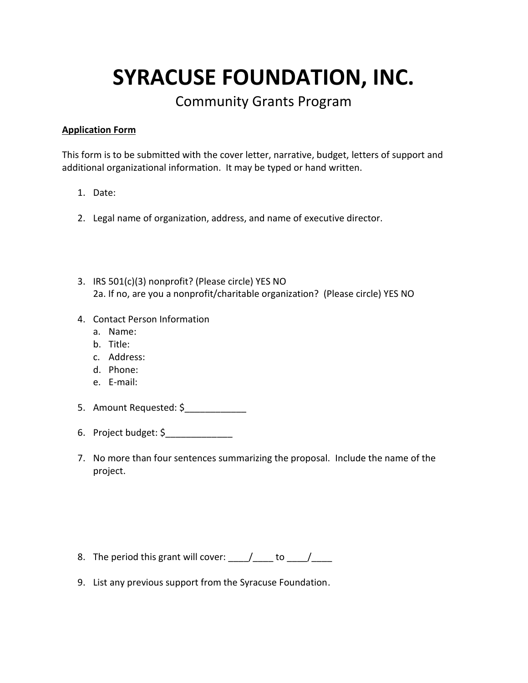**SYRACUSE FOUNDATION, INC.**

Community Grants Program

#### **Application Form**

This form is to be submitted with the cover letter, narrative, budget, letters of support and additional organizational information. It may be typed or hand written.

- 1. Date:
- 2. Legal name of organization, address, and name of executive director.
- 3. IRS 501(c)(3) nonprofit? (Please circle) YES NO 2a. If no, are you a nonprofit/charitable organization? (Please circle) YES NO
- 4. Contact Person Information
	- a. Name:
	- b. Title:
	- c. Address:
	- d. Phone:
	- e. E-mail:
- 5. Amount Requested: \$
- 6. Project budget: \$\_\_\_\_\_\_\_\_\_\_\_\_\_
- 7. No more than four sentences summarizing the proposal. Include the name of the project.

- 8. The period this grant will cover:  $\frac{1}{\sqrt{2\pi}}$  to  $\frac{1}{\sqrt{2\pi}}$
- 9. List any previous support from the Syracuse Foundation.